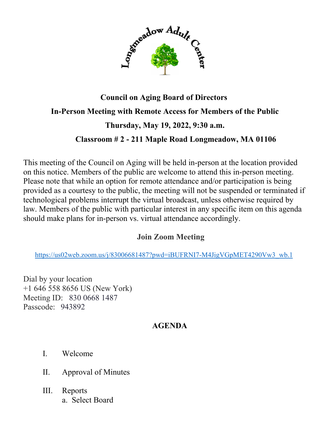

## **Council on Aging Board of Directors In-Person Meeting with Remote Access for Members of the Public Thursday, May 19, 2022, 9:30 a.m. Classroom # 2 - 211 Maple Road Longmeadow, MA 01106**

This meeting of the Council on Aging will be held in-person at the location provided on this notice. Members of the public are welcome to attend this in-person meeting. Please note that while an option for remote attendance and/or participation is being provided as a courtesy to the public, the meeting will not be suspended or terminated if technological problems interrupt the virtual broadcast, unless otherwise required by law. Members of the public with particular interest in any specific item on this agenda should make plans for in-person vs. virtual attendance accordingly.

## **Join Zoom Meeting**

[https://us02web.zoom.us/j/83006681487?pwd=iBUFRNI7-M4JigVGpMET4290Vw3\\_wb.1](https://us02web.zoom.us/j/83006681487?pwd=iBUFRNI7-M4JigVGpMET4290Vw3_wb.1)

Dial by your location +1 646 558 8656 US (New York) Meeting ID: 830 0668 1487 Passcode: 943892

## **AGENDA**

- I. Welcome
- II. Approval of Minutes
- III. Reports a. Select Board